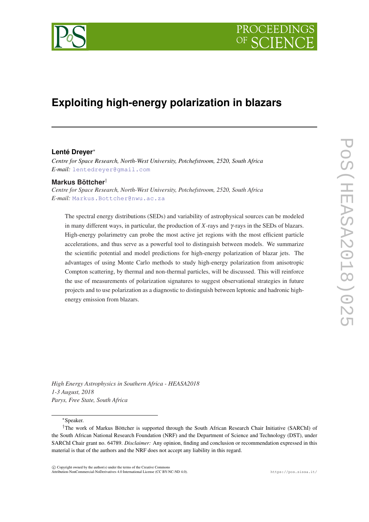

# **Exploiting high-energy polarization in blazars**

#### **Lenté Dreyer**<sup>∗</sup>

*Centre for Space Research, North-West University, Potchefstroom, 2520, South Africa E-mail:* [lentedreyer@gmail.com](mailto:lentedreyer@gmail.com)

### **Markus Böttcher**†

*Centre for Space Research, North-West University, Potchefstroom, 2520, South Africa E-mail:* [Markus.Bottcher@nwu.ac.za](mailto:Markus.Bottcher@nwu.ac.za)

The spectral energy distributions (SEDs) and variability of astrophysical sources can be modeled in many different ways, in particular, the production of *X*-rays and γ-rays in the SEDs of blazars. High-energy polarimetry can probe the most active jet regions with the most efficient particle accelerations, and thus serve as a powerful tool to distinguish between models. We summarize the scientific potential and model predictions for high-energy polarization of blazar jets. The advantages of using Monte Carlo methods to study high-energy polarization from anisotropic Compton scattering, by thermal and non-thermal particles, will be discussed. This will reinforce the use of measurements of polarization signatures to suggest observational strategies in future projects and to use polarization as a diagnostic to distinguish between leptonic and hadronic highenergy emission from blazars.

*High Energy Astrophysics in Southern Africa - HEASA2018 1-3 August, 2018 Parys, Free State, South Africa*

<sup>∗</sup>Speaker.

 $\overline{c}$  Copyright owned by the author(s) under the terms of the Creative Commons Attribution-NonCommercial-NoDerivatives 4.0 International License (CC BY-NC-ND 4.0). https://pos.sissa.it/

<sup>†</sup>The work of Markus Böttcher is supported through the South African Research Chair Initiative (SARChI) of the South African National Research Foundation (NRF) and the Department of Science and Technology (DST), under SARChI Chair grant no. 64789. *Disclaimer:* Any opinion, finding and conclusion or recommendation expressed in this material is that of the authors and the NRF does not accept any liability in this regard.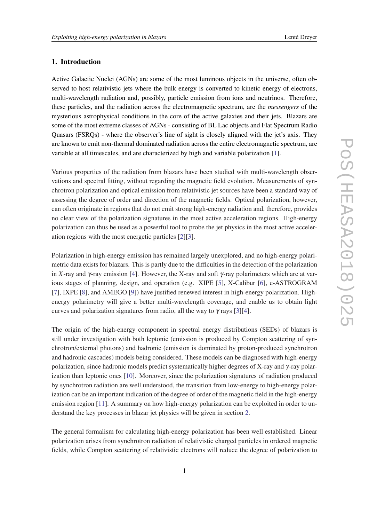## 1. Introduction

Active Galactic Nuclei (AGNs) are some of the most luminous objects in the universe, often observed to host relativistic jets where the bulk energy is converted to kinetic energy of electrons, multi-wavelength radiation and, possibly, particle emission from ions and neutrinos. Therefore, these particles, and the radiation across the electromagnetic spectrum, are the *messengers* of the mysterious astrophysical conditions in the core of the active galaxies and their jets. Blazars are some of the most extreme classes of AGNs - consisting of BL Lac objects and Flat Spectrum Radio Quasars (FSRQs) - where the observer's line of sight is closely aligned with the jet's axis. They are known to emit non-thermal dominated radiation across the entire electromagnetic spectrum, are variable at all timescales, and are characterized by high and variable polarization [[1](#page-7-0)].

Various properties of the radiation from blazars have been studied with multi-wavelength observations and spectral fitting, without regarding the magnetic field evolution. Measurements of synchrotron polarization and optical emission from relativistic jet sources have been a standard way of assessing the degree of order and direction of the magnetic fields. Optical polarization, however, can often originate in regions that do not emit strong high-energy radiation and, therefore, provides no clear view of the polarization signatures in the most active acceleration regions. High-energy polarization can thus be used as a powerful tool to probe the jet physics in the most active acceleration regions with the most energetic particles [[2\]\[3\]](#page-7-0).

Polarization in high-energy emission has remained largely unexplored, and no high-energy polarimetric data exists for blazars. This is partly due to the difficulties in the detection of the polarization in *X*-ray and  $\gamma$ -ray emission [[4](#page-7-0)]. However, the X-ray and soft  $\gamma$ -ray polarimeters which are at various stages of planning, design, and operation (e.g. XIPE [[5](#page-7-0)], X-Calibur [\[6\]](#page-7-0), e-ASTROGRAM [[7](#page-7-0)], IXPE [\[8\]](#page-7-0), and AMEGO [\[9\]](#page-7-0)) have justified renewed interest in high-energy polarization. Highenergy polarimetry will give a better multi-wavelength coverage, and enable us to obtain light curves and polarization signatures from radio, all the way to  $\gamma$  rays [[3](#page-7-0)][[4\]](#page-7-0).

The origin of the high-energy component in spectral energy distributions (SEDs) of blazars is still under investigation with both leptonic (emission is produced by Compton scattering of synchrotron/external photons) and hadronic (emission is dominated by proton-produced synchrotron and hadronic cascades) models being considered. These models can be diagnosed with high-energy polarization, since hadronic models predict systematically higher degrees of X-ray and γ-ray polarization than leptonic ones [[10\]](#page-7-0). Moreover, since the polarization signatures of radiation produced by synchrotron radiation are well understood, the transition from low-energy to high-energy polarization can be an important indication of the degree of order of the magnetic field in the high-energy emission region [\[11](#page-7-0)]. A summary on how high-energy polarization can be exploited in order to understand the key processes in blazar jet physics will be given in section [2](#page-2-0).

The general formalism for calculating high-energy polarization has been well established. Linear polarization arises from synchrotron radiation of relativistic charged particles in ordered magnetic fields, while Compton scattering of relativistic electrons will reduce the degree of polarization to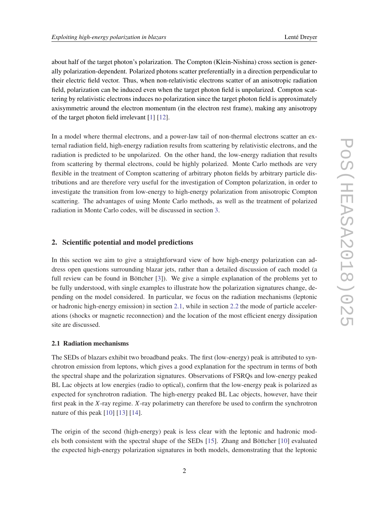<span id="page-2-0"></span>about half of the target photon's polarization. The Compton (Klein-Nishina) cross section is generally polarization-dependent. Polarized photons scatter preferentially in a direction perpendicular to their electric field vector. Thus, when non-relativistic electrons scatter of an anisotropic radiation field, polarization can be induced even when the target photon field is unpolarized. Compton scattering by relativistic electrons induces no polarization since the target photon field is approximately axisymmetric around the electron momentum (in the electron rest frame), making any anisotropy of the target photon field irrelevant [\[1\]](#page-7-0) [[12\]](#page-7-0).

In a model where thermal electrons, and a power-law tail of non-thermal electrons scatter an external radiation field, high-energy radiation results from scattering by relativistic electrons, and the radiation is predicted to be unpolarized. On the other hand, the low-energy radiation that results from scattering by thermal electrons, could be highly polarized. Monte Carlo methods are very flexible in the treatment of Compton scattering of arbitrary photon fields by arbitrary particle distributions and are therefore very useful for the investigation of Compton polarization, in order to investigate the transition from low-energy to high-energy polarization from anisotropic Compton scattering. The advantages of using Monte Carlo methods, as well as the treatment of polarized radiation in Monte Carlo codes, will be discussed in section [3](#page-5-0).

### 2. Scientific potential and model predictions

In this section we aim to give a straightforward view of how high-energy polarization can address open questions surrounding blazar jets, rather than a detailed discussion of each model (a full review can be found in Böttcher [\[3\]](#page-7-0)). We give a simple explanation of the problems yet to be fully understood, with single examples to illustrate how the polarization signatures change, depending on the model considered. In particular, we focus on the radiation mechanisms (leptonic or hadronic high-energy emission) in section 2.1, while in section [2.2](#page-3-0) the mode of particle accelerations (shocks or magnetic reconnection) and the location of the most efficient energy dissipation site are discussed.

### 2.1 Radiation mechanisms

The SEDs of blazars exhibit two broadband peaks. The first (low-energy) peak is attributed to synchrotron emission from leptons, which gives a good explanation for the spectrum in terms of both the spectral shape and the polarization signatures. Observations of FSRQs and low-energy peaked BL Lac objects at low energies (radio to optical), confirm that the low-energy peak is polarized as expected for synchrotron radiation. The high-energy peaked BL Lac objects, however, have their first peak in the *X*-ray regime. *X*-ray polarimetry can therefore be used to confirm the synchrotron nature of this peak [[10](#page-7-0)] [\[13](#page-7-0)] [\[14](#page-7-0)].

The origin of the second (high-energy) peak is less clear with the leptonic and hadronic models both consistent with the spectral shape of the SEDs [[15\]](#page-7-0). Zhang and Böttcher [[10\]](#page-7-0) evaluated the expected high-energy polarization signatures in both models, demonstrating that the leptonic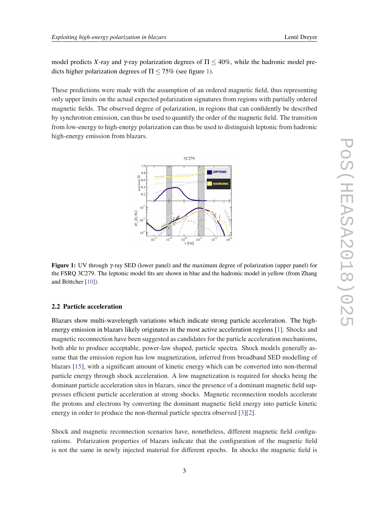<span id="page-3-0"></span>model predicts X-ray and  $\gamma$ -ray polarization degrees of  $\Pi \leq 40\%$ , while the hadronic model predicts higher polarization degrees of  $\Pi \le 75\%$  (see figure 1).

These predictions were made with the assumption of an ordered magnetic field, thus representing only upper limits on the actual expected polarization signatures from regions with partially ordered magnetic fields. The observed degree of polarization, in regions that can confidently be described by synchrotron emission, can thus be used to quantify the order of the magnetic field. The transition from low-energy to high-energy polarization can thus be used to distinguish leptonic from hadronic high-energy emission from blazars.



Figure 1: UV through γ-ray SED (lower panel) and the maximum degree of polarization (upper panel) for the FSRQ 3C279. The leptonic model fits are shown in blue and the hadronic model in yellow (from Zhang and Böttcher [\[10](#page-7-0)]).

#### 2.2 Particle acceleration

Blazars show multi-wavelength variations which indicate strong particle acceleration. The highenergy emission in blazars likely originates in the most active acceleration regions [[1](#page-7-0)]. Shocks and magnetic reconnection have been suggested as candidates for the particle acceleration mechanisms, both able to produce acceptable, power-law shaped, particle spectra. Shock models generally assume that the emission region has low magnetization, inferred from broadband SED modelling of blazars [[15\]](#page-7-0), with a significant amount of kinetic energy which can be converted into non-thermal particle energy through shock acceleration. A low magnetization is required for shocks being the dominant particle acceleration sites in blazars, since the presence of a dominant magnetic field suppresses efficient particle acceleration at strong shocks. Magnetic reconnection models accelerate the protons and electrons by converting the dominant magnetic field energy into particle kinetic energy in order to produce the non-thermal particle spectra observed [\[3\]\[2\]](#page-7-0).

Shock and magnetic reconnection scenarios have, nonetheless, different magnetic field configurations. Polarization properties of blazars indicate that the configuration of the magnetic field is not the same in newly injected material for different epochs. In shocks the magnetic field is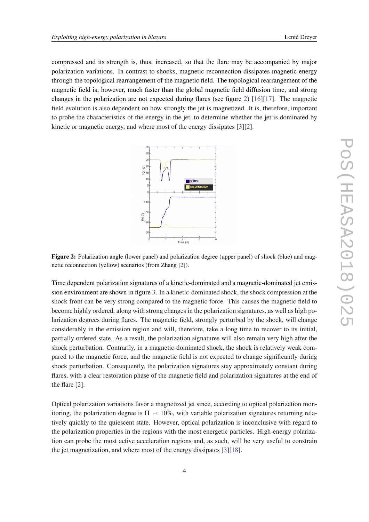compressed and its strength is, thus, increased, so that the flare may be accompanied by major polarization variations. In contrast to shocks, magnetic reconnection dissipates magnetic energy through the topological rearrangement of the magnetic field. The topological rearrangement of the magnetic field is, however, much faster than the global magnetic field diffusion time, and strong changes in the polarization are not expected during flares (see figure 2) [[16\]](#page-7-0)[[17\]](#page-7-0). The magnetic field evolution is also dependent on how strongly the jet is magnetized. It is, therefore, important to probe the characteristics of the energy in the jet, to determine whether the jet is dominated by kinetic or magnetic energy, and where most of the energy dissipates [\[3\]](#page-7-0)[[2](#page-7-0)].



Figure 2: Polarization angle (lower panel) and polarization degree (upper panel) of shock (blue) and magnetic reconnection (yellow) scenarios (from Zhang [\[2](#page-7-0)]).

Time dependent polarization signatures of a kinetic-dominated and a magnetic-dominated jet emission environment are shown in figure [3.](#page-5-0) In a kinetic-dominated shock, the shock compression at the shock front can be very strong compared to the magnetic force. This causes the magnetic field to become highly ordered, along with strong changes in the polarization signatures, as well as high polarization degrees during flares. The magnetic field, strongly perturbed by the shock, will change considerably in the emission region and will, therefore, take a long time to recover to its initial, partially ordered state. As a result, the polarization signatures will also remain very high after the shock perturbation. Contrarily, in a magnetic-dominated shock, the shock is relatively weak compared to the magnetic force, and the magnetic field is not expected to change significantly during shock perturbation. Consequently, the polarization signatures stay approximately constant during flares, with a clear restoration phase of the magnetic field and polarization signatures at the end of the flare [\[2\]](#page-7-0).

Optical polarization variations favor a magnetized jet since, according to optical polarization monitoring, the polarization degree is  $\Pi \sim 10\%$ , with variable polarization signatures returning relatively quickly to the quiescent state. However, optical polarization is inconclusive with regard to the polarization properties in the regions with the most energetic particles. High-energy polarization can probe the most active acceleration regions and, as such, will be very useful to constrain the jet magnetization, and where most of the energy dissipates [[3](#page-7-0)][[18\]](#page-8-0).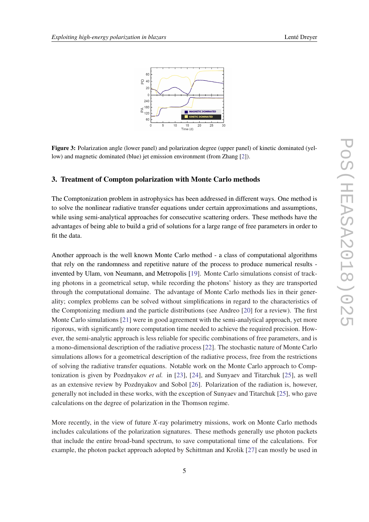<span id="page-5-0"></span>

Figure 3: Polarization angle (lower panel) and polarization degree (upper panel) of kinetic dominated (yellow) and magnetic dominated (blue) jet emission environment (from Zhang [[2\]](#page-7-0)).

#### 3. Treatment of Compton polarization with Monte Carlo methods

The Comptonization problem in astrophysics has been addressed in different ways. One method is to solve the nonlinear radiative transfer equations under certain approximations and assumptions, while using semi-analytical approaches for consecutive scattering orders. These methods have the advantages of being able to build a grid of solutions for a large range of free parameters in order to fit the data.

Another approach is the well known Monte Carlo method - a class of computational algorithms that rely on the randomness and repetitive nature of the process to produce numerical results invented by Ulam, von Neumann, and Metropolis [[19\]](#page-8-0). Monte Carlo simulations consist of tracking photons in a geometrical setup, while recording the photons' history as they are transported through the computational domaine. The advantage of Monte Carlo methods lies in their generality; complex problems can be solved without simplifications in regard to the characteristics of the Comptonizing medium and the particle distributions (see Andreo [\[20](#page-8-0)] for a review). The first Monte Carlo simulations [[21](#page-8-0)] were in good agreement with the semi-analytical approach, yet more rigorous, with significantly more computation time needed to achieve the required precision. However, the semi-analytic approach is less reliable for specific combinations of free parameters, and is a mono-dimensional description of the radiative process [[22\]](#page-8-0). The stochastic nature of Monte Carlo simulations allows for a geometrical description of the radiative process, free from the restrictions of solving the radiative transfer equations. Notable work on the Monte Carlo approach to Comptonization is given by Pozdnyakov *et al.* in [[23\]](#page-8-0), [[24](#page-8-0)], and Sunyaev and Titarchuk [\[25](#page-8-0)], as well as an extensive review by Pozdnyakov and Sobol [[26\]](#page-8-0). Polarization of the radiation is, however, generally not included in these works, with the exception of Sunyaev and Titarchuk [[25\]](#page-8-0), who gave calculations on the degree of polarization in the Thomson regime.

More recently, in the view of future *X*-ray polarimetry missions, work on Monte Carlo methods includes calculations of the polarization signatures. These methods generally use photon packets that include the entire broad-band spectrum, to save computational time of the calculations. For example, the photon packet approach adopted by Schittman and Krolik [[27\]](#page-8-0) can mostly be used in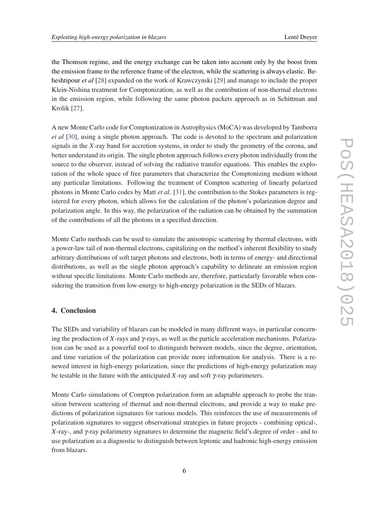the Thomson regime, and the energy exchange can be taken into account only by the boost from the emission frame to the reference frame of the electron, while the scattering is always elastic. Beheshtipour *et al* [\[28](#page-8-0)] expanded on the work of Krawczynski [\[29](#page-8-0)] and manage to include the proper Klein-Nishina treatment for Comptonization, as well as the contribution of non-thermal electrons in the emission region, while following the same photon packets approach as in Schittman and Krolik [\[27](#page-8-0)].

A new Monte Carlo code for Comptonization in Astrophysics (MoCA) was developed by Tamborra *et al* [[30\]](#page-8-0), using a single photon approach. The code is devoted to the spectrum and polarization signals in the *X*-ray band for accretion systems, in order to study the geometry of the corona, and better understand its origin. The single photon approach follows every photon individually from the source to the observer, instead of solving the radiative transfer equations. This enables the exploration of the whole space of free parameters that characterize the Comptonizing medium without any particular limitations. Following the treatment of Compton scattering of linearly polarized photons in Monte Carlo codes by Matt *et al.* [\[31](#page-8-0)], the contribution to the Stokes parameters is registered for every photon, which allows for the calculation of the photon's polarization degree and polarization angle. In this way, the polarization of the radiation can be obtained by the summation of the contributions of all the photons in a specified direction.

Monte Carlo methods can be used to simulate the anisotropic scattering by thermal electrons, with a power-law tail of non-thermal electrons, capitalizing on the method's inherent flexibility to study arbitrary distributions of soft target photons and electrons, both in terms of energy- and directional distributions, as well as the single photon approach's capability to delineate an emission region without specific limitations. Monte Carlo methods are, therefore, particularly favorable when considering the transition from low-energy to high-energy polarization in the SEDs of blazars.

## 4. Conclusion

The SEDs and variability of blazars can be modeled in many different ways, in particular concerning the production of *X*-rays and  $\gamma$ -rays, as well as the particle acceleration mechanisms. Polarization can be used as a powerful tool to distinguish between models, since the degree, orientation, and time variation of the polarization can provide more information for analysis. There is a renewed interest in high-energy polarization, since the predictions of high-energy polarization may be testable in the future with the anticipated *X*-ray and soft γ-ray polarimeters.

Monte Carlo simulations of Compton polarization form an adaptable approach to probe the transition between scattering of thermal and non-thermal electrons, and provide a way to make predictions of polarization signatures for various models. This reinforces the use of measurements of polarization signatures to suggest observational strategies in future projects - combining optical-, *X*-ray-, and γ-ray polarimetry signatures to determine the magnetic field's degree of order - and to use polarization as a diagnostic to distinguish between leptonic and hadronic high-energy emission from blazars.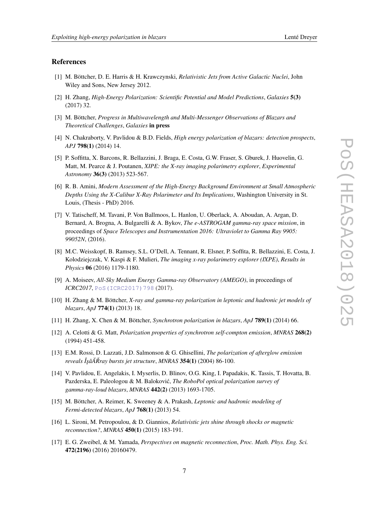#### <span id="page-7-0"></span>References

- [1] M. Böttcher, D. E. Harris & H. Krawczynski, *Relativistic Jets from Active Galactic Nuclei*, John Wiley and Sons, New Jersey 2012.
- [2] H. Zhang, *High-Energy Polarization: Scientific Potential and Model Predictions*, *Galaxies* 5(3) (2017) 32.
- [3] M. Böttcher, *Progress in Multiwavelength and Multi-Messenger Observations of Blazars and Theoretical Challenges*, *Galaxies* in press
- [4] N. Chakraborty, V. Pavlidou & B.D. Fields, *High energy polarization of blazars: detection prospects*, *APJ* 798(1) (2014) 14.
- [5] P. Soffitta, X. Barcons, R. Bellazzini, J. Braga, E. Costa, G.W. Fraser, S. Gburek, J. Huovelin, G. Matt, M. Pearce & J. Poutanen, *XIPE: the X-ray imaging polarimetry explorer*, *Experimental Astronomy* 36(3) (2013) 523-567.
- [6] R. B. Amini, *Modern Assessment of the High-Energy Background Environment at Small Atmospheric Depths Using the X-Calibur X-Ray Polarimeter and Its Implications*, Washington University in St. Louis, (Thesis - PhD) 2016.
- [7] V. Tatischeff, M. Tavani, P. Von Ballmoos, L. Hanlon, U. Oberlack, A. Aboudan, A. Argan, D. Bernard, A. Brogna, A. Bulgarelli & A. Bykov, *The e-ASTROGAM gamma-ray space mission*, in proceedings of *Space Telescopes and Instrumentation 2016: Ultraviolet to Gamma Ray 9905: 99052N*, (2016).
- [8] M.C. Weisskopf, B. Ramsey, S.L. O'Dell, A. Tennant, R. Elsner, P. Soffita, R. Bellazzini, E. Costa, J. Kolodziejczak, V. Kaspi & F. Mulieri, *The imaging x-ray polarimetry explorer (IXPE)*, *Results in Physics* 06 (2016) 1179-1180.
- [9] A. Moiseev, *All-Sky Medium Energy Gamma-ray Observatory (AMEGO)*, in proceedings of *ICRC2017*, [PoS\(ICRC2017\)798](https://pos.sissa.it/cgi-bin/reader/contribution.cgi?id=PoS(ICRC2017)798) (2017).
- [10] H. Zhang & M. Böttcher, *X-ray and gamma-ray polarization in leptonic and hadronic jet models of blazars*, *ApJ* 774(1) (2013) 18.
- [11] H. Zhang, X. Chen & M. Böttcher, *Synchrotron polarization in blazars*, *ApJ* 789(1) (2014) 66.
- [12] A. Celotti & G. Matt, *Polarization properties of synchrotron self-compton emission*, *MNRAS* 268(2) (1994) 451-458.
- [13] E.M. Rossi, D. Lazzati, J.D. Salmonson & G. Ghisellini, *The polarization of afterglow emission reveals ÎşâĂRray bursts jet structure, MNRAS* 354(1) (2004) 86-100.
- [14] V. Pavlidou, E. Angelakis, I. Myserlis, D. Blinov, O.G. King, I. Papadakis, K. Tassis, T. Hovatta, B. Pazderska, E. Paleologou & M. Balokovic,´ *The RoboPol optical polarization survey of gamma-ray-loud blazars*, *MNRAS* 442(2) (2013) 1693-1705.
- [15] M. Böttcher, A. Reimer, K. Sweeney & A. Prakash, *Leptonic and hadronic modeling of Fermi-detected blazars*, *ApJ* 768(1) (2013) 54.
- [16] L. Sironi, M. Petropoulou, & D. Giannios, *Relativistic jets shine through shocks or magnetic reconnection?*, *MNRAS* 450(1) (2015) 183-191.
- [17] E. G. Zweibel, & M. Yamada, *Perspectives on magnetic reconnection*, *Proc. Math. Phys. Eng. Sci.* 472(2196) (2016) 20160479.